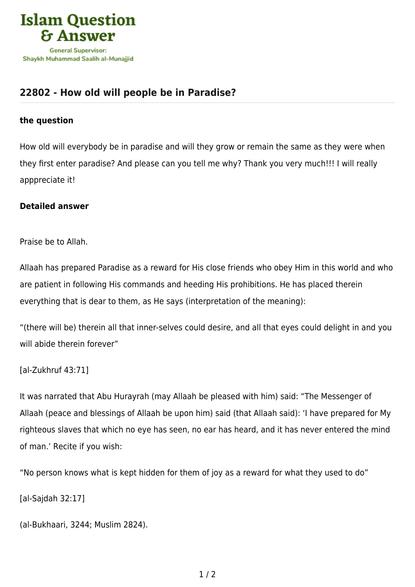

## **[22802 - How old will people be in Paradise?](https://islamqa.com/en/answers/22802/how-old-will-people-be-in-paradise)**

## **the question**

How old will everybody be in paradise and will they grow or remain the same as they were when they first enter paradise? And please can you tell me why? Thank you very much!!! I will really apppreciate it!

## **Detailed answer**

Praise be to Allah.

Allaah has prepared Paradise as a reward for His close friends who obey Him in this world and who are patient in following His commands and heeding His prohibitions. He has placed therein everything that is dear to them, as He says (interpretation of the meaning):

"(there will be) therein all that inner‑selves could desire, and all that eyes could delight in and you will abide therein forever"

## [al-Zukhruf 43:71]

It was narrated that Abu Hurayrah (may Allaah be pleased with him) said: "The Messenger of Allaah (peace and blessings of Allaah be upon him) said (that Allaah said): 'I have prepared for My righteous slaves that which no eye has seen, no ear has heard, and it has never entered the mind of man.' Recite if you wish:

"No person knows what is kept hidden for them of joy as a reward for what they used to do"

[al-Sajdah 32:17]

(al-Bukhaari, 3244; Muslim 2824).